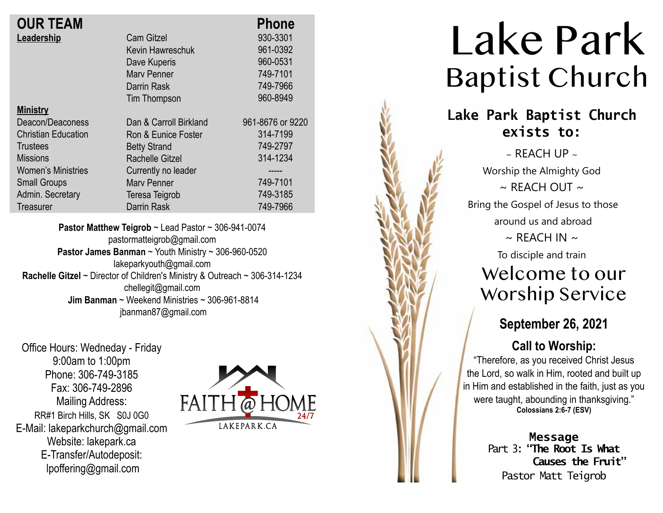| <b>OUR TEAM</b>            |                        | <b>Phone</b>     |
|----------------------------|------------------------|------------------|
| Leadership                 | <b>Cam Gitzel</b>      | 930-3301         |
|                            | Kevin Hawreschuk       | 961-0392         |
|                            | Dave Kuperis           | 960-0531         |
|                            | <b>Mary Penner</b>     | 749-7101         |
|                            | Darrin Rask            | 749-7966         |
|                            | Tim Thompson           | 960-8949         |
| <b>Ministry</b>            |                        |                  |
| Deacon/Deaconess           | Dan & Carroll Birkland | 961-8676 or 9220 |
| <b>Christian Education</b> | Ron & Eunice Foster    | 314-7199         |
| Trustees                   | <b>Betty Strand</b>    | 749-2797         |
| <b>Missions</b>            | Rachelle Gitzel        | 314-1234         |
| <b>Women's Ministries</b>  | Currently no leader    |                  |
| <b>Small Groups</b>        | <b>Mary Penner</b>     | 749-7101         |
| Admin. Secretary           | Teresa Teigrob         | 749-3185         |
| Treasurer                  | Darrin Rask            | 749-7966         |
|                            |                        |                  |

**Pastor Matthew Teigrob** ~ Lead Pastor ~ 306-941-0074 pastormatteigrob@gmail.com **Pastor James Banman** ~ Youth Ministry ~ 306-960-0520 lakeparkyouth@gmail.com **Rachelle Gitzel** ~ Director of Children's Ministry & Outreach ~ 306-314-1234 chellegit@gmail.com  **Jim Banman** ~ Weekend Ministries ~ 306-961-8814 jbanman87@gmail.com

Office Hours: Wedneday - Friday 9:00am to 1:00pm Phone: 306-749-3185 Fax: 306-749-2896 Mailing Address: RR#1 Birch Hills, SK S0J 0G0 E-Mail: lakeparkchurch@gmail.com Website: lakepark.ca E-Transfer/Autodeposit: lpoffering@gmail.com



# Lake Park Baptist Church

### **Lake Park Baptist Church exists to:**

 $\sim$  REACH UP  $\sim$ Worship the Almighty God  $\sim$  RFACH OUT  $\sim$ Bring the Gospel of Jesus to those around us and abroad  $\sim$  REACH IN  $\sim$ To disciple and train

## Welcome to our Worship Service

### **September 26, 2021**

#### **Call to Worship:**

"Therefore, as you received Christ Jesus the Lord, so walk in Him, rooted and built up in Him and established in the faith, just as you were taught, abounding in thanksgiving." **Colossians 2:6-7 (ESV)**

> **Message** Part 3: **"The Root Is What Causes the Fruit"**  Pastor Matt Teigrob